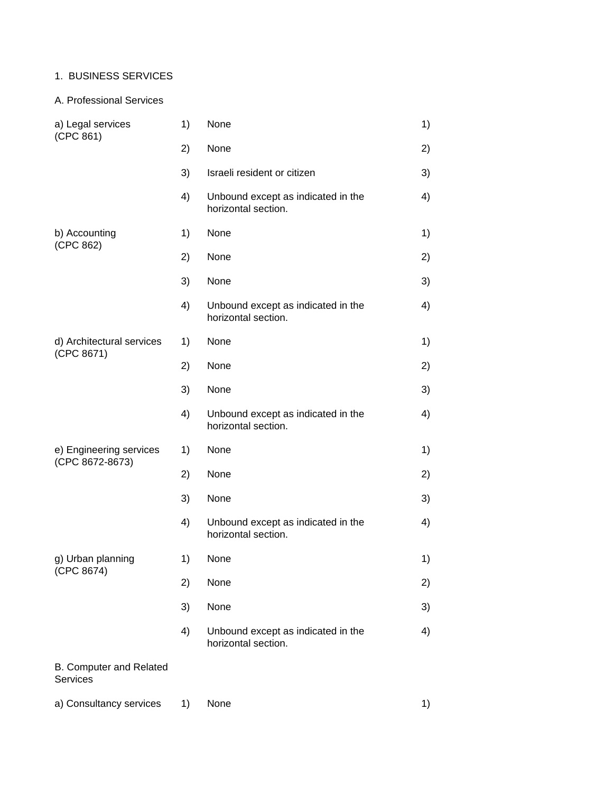# 1. BUSINESS SERVICES

## A. Professional Services

| a) Legal services<br>(CPC 861)             | 1) | None                                                      | 1) |
|--------------------------------------------|----|-----------------------------------------------------------|----|
|                                            | 2) | None                                                      | 2) |
|                                            | 3) | Israeli resident or citizen                               | 3) |
|                                            | 4) | Unbound except as indicated in the<br>horizontal section. | 4) |
| b) Accounting<br>(CPC 862)                 | 1) | None                                                      | 1) |
|                                            | 2) | None                                                      | 2) |
|                                            | 3) | None                                                      | 3) |
|                                            | 4) | Unbound except as indicated in the<br>horizontal section. | 4) |
| d) Architectural services                  | 1) | None                                                      | 1) |
| (CPC 8671)                                 | 2) | None                                                      | 2) |
|                                            | 3) | None                                                      | 3) |
|                                            | 4) | Unbound except as indicated in the<br>horizontal section. | 4) |
| e) Engineering services<br>(CPC 8672-8673) | 1) | None                                                      | 1) |
|                                            | 2) | None                                                      | 2) |
|                                            | 3) | None                                                      | 3) |
|                                            | 4) | Unbound except as indicated in the<br>horizontal section. | 4) |
| g) Urban planning                          | 1) | None                                                      | 1) |
| (CPC 8674)                                 | 2) | None                                                      | 2) |
|                                            | 3) | None                                                      | 3) |
|                                            | 4) | Unbound except as indicated in the<br>horizontal section. | 4) |
| B. Computer and Related<br><b>Services</b> |    |                                                           |    |
| a) Consultancy services                    | 1) | None                                                      | 1) |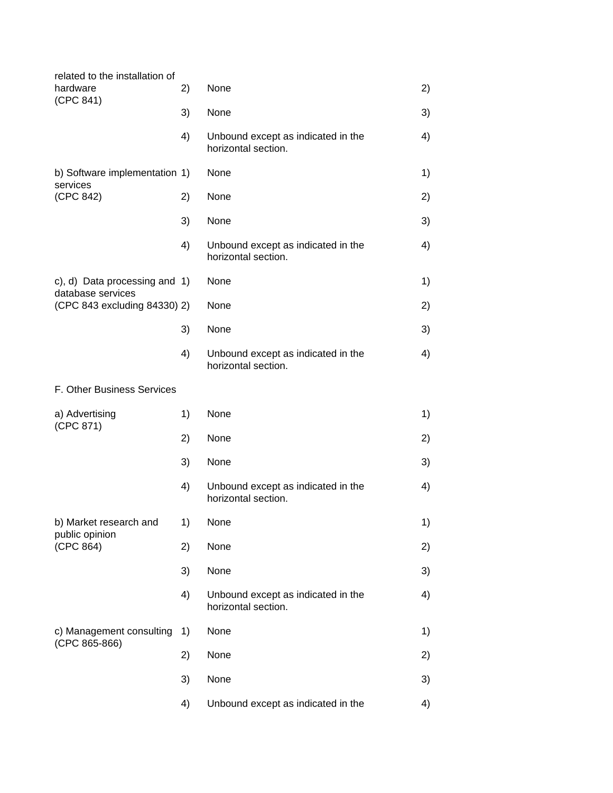| related to the installation of<br>hardware<br>(CPC 841) | 2) | None                                                      | 2) |
|---------------------------------------------------------|----|-----------------------------------------------------------|----|
|                                                         | 3) | None                                                      | 3) |
|                                                         | 4) | Unbound except as indicated in the<br>horizontal section. | 4) |
| b) Software implementation 1)                           |    | None                                                      | 1) |
| services<br>(CPC 842)                                   | 2) | None                                                      | 2) |
|                                                         | 3) | None                                                      | 3) |
|                                                         | 4) | Unbound except as indicated in the<br>horizontal section. | 4) |
| c), d) Data processing and 1)                           |    | None                                                      | 1) |
| database services<br>(CPC 843 excluding 84330) 2)       |    | None                                                      | 2) |
|                                                         | 3) | None                                                      | 3) |
|                                                         | 4) | Unbound except as indicated in the<br>horizontal section. | 4) |
| F. Other Business Services                              |    |                                                           |    |
| a) Advertising                                          | 1) | None                                                      | 1) |
| (CPC 871)                                               | 2) | None                                                      | 2) |
|                                                         | 3) | None                                                      | 3) |
|                                                         | 4) | Unbound except as indicated in the<br>horizontal section. | 4) |
| b) Market research and                                  | 1) | None                                                      | 1) |
| public opinion<br>(CPC 864)                             | 2) | None                                                      | 2) |
|                                                         | 3) | None                                                      | 3) |
|                                                         | 4) | Unbound except as indicated in the<br>horizontal section. | 4) |
| c) Management consulting                                | 1) | None                                                      | 1) |
| (CPC 865-866)                                           | 2) | None                                                      | 2) |
|                                                         | 3) | None                                                      | 3) |
|                                                         | 4) | Unbound except as indicated in the                        | 4) |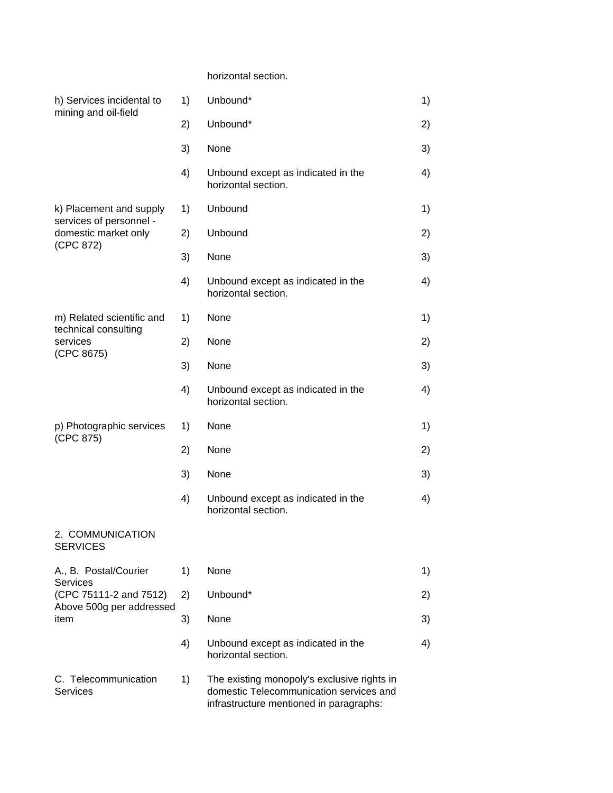## horizontal section.

| h) Services incidental to<br>mining and oil-field | 1) | Unbound*                                                                                                                          | 1) |
|---------------------------------------------------|----|-----------------------------------------------------------------------------------------------------------------------------------|----|
|                                                   | 2) | Unbound*                                                                                                                          | 2) |
|                                                   | 3) | None                                                                                                                              | 3) |
|                                                   | 4) | Unbound except as indicated in the<br>horizontal section.                                                                         | 4) |
| k) Placement and supply                           | 1) | Unbound                                                                                                                           | 1) |
| services of personnel -<br>domestic market only   | 2) | Unbound                                                                                                                           | 2) |
| (CPC 872)                                         | 3) | None                                                                                                                              | 3) |
|                                                   | 4) | Unbound except as indicated in the<br>horizontal section.                                                                         | 4) |
| m) Related scientific and                         | 1) | None                                                                                                                              | 1) |
| technical consulting<br>services                  | 2) | None                                                                                                                              | 2) |
| (CPC 8675)                                        | 3) | None                                                                                                                              | 3) |
|                                                   | 4) | Unbound except as indicated in the<br>horizontal section.                                                                         | 4) |
| p) Photographic services                          | 1) | None                                                                                                                              | 1) |
| (CPC 875)                                         | 2) | None                                                                                                                              | 2) |
|                                                   | 3) | None                                                                                                                              | 3) |
|                                                   | 4) | Unbound except as indicated in the<br>horizontal section.                                                                         | 4) |
| 2. COMMUNICATION<br><b>SERVICES</b>               |    |                                                                                                                                   |    |
| A., B. Postal/Courier                             | 1) | None                                                                                                                              | 1) |
| <b>Services</b><br>(CPC 75111-2 and 7512)         | 2) | Unbound*                                                                                                                          | 2) |
| Above 500g per addressed<br>item                  | 3) | None                                                                                                                              | 3) |
|                                                   | 4) | Unbound except as indicated in the<br>horizontal section.                                                                         | 4) |
| C. Telecommunication<br><b>Services</b>           | 1) | The existing monopoly's exclusive rights in<br>domestic Telecommunication services and<br>infrastructure mentioned in paragraphs: |    |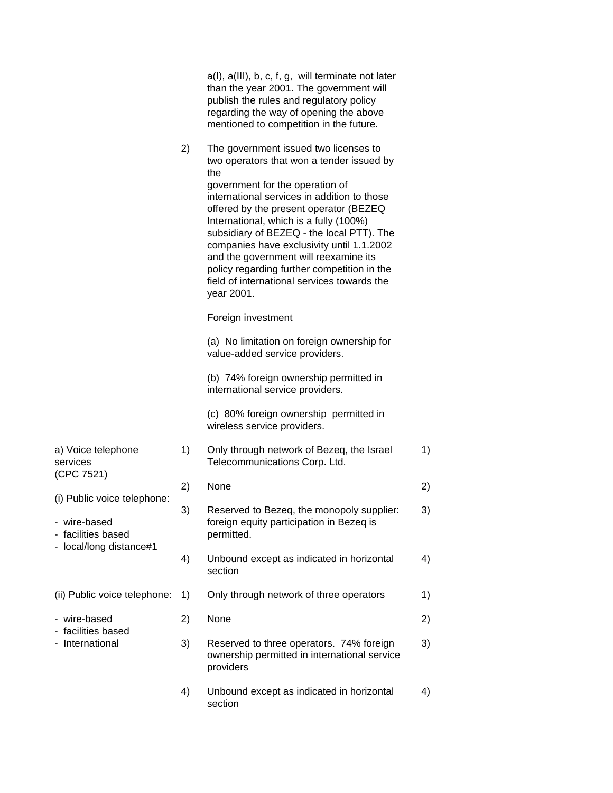|                                                                   |    | a(I), a(III), b, c, f, g, will terminate not later<br>than the year 2001. The government will<br>publish the rules and regulatory policy<br>regarding the way of opening the above<br>mentioned to competition in the future.                                                                                                                                                                                                                                                                                  |    |
|-------------------------------------------------------------------|----|----------------------------------------------------------------------------------------------------------------------------------------------------------------------------------------------------------------------------------------------------------------------------------------------------------------------------------------------------------------------------------------------------------------------------------------------------------------------------------------------------------------|----|
|                                                                   | 2) | The government issued two licenses to<br>two operators that won a tender issued by<br>the<br>government for the operation of<br>international services in addition to those<br>offered by the present operator (BEZEQ<br>International, which is a fully (100%)<br>subsidiary of BEZEQ - the local PTT). The<br>companies have exclusivity until 1.1.2002<br>and the government will reexamine its<br>policy regarding further competition in the<br>field of international services towards the<br>year 2001. |    |
|                                                                   |    | Foreign investment                                                                                                                                                                                                                                                                                                                                                                                                                                                                                             |    |
|                                                                   |    | (a) No limitation on foreign ownership for<br>value-added service providers.                                                                                                                                                                                                                                                                                                                                                                                                                                   |    |
|                                                                   |    | (b) 74% foreign ownership permitted in<br>international service providers.                                                                                                                                                                                                                                                                                                                                                                                                                                     |    |
|                                                                   |    | (c) 80% foreign ownership permitted in<br>wireless service providers.                                                                                                                                                                                                                                                                                                                                                                                                                                          |    |
| a) Voice telephone<br>services<br>(CPC 7521)                      | 1) | Only through network of Bezeq, the Israel<br>Telecommunications Corp. Ltd.                                                                                                                                                                                                                                                                                                                                                                                                                                     | 1) |
|                                                                   | 2) | None                                                                                                                                                                                                                                                                                                                                                                                                                                                                                                           | 2) |
| (i) Public voice telephone:<br>- wire-based<br>- facilities based | 3) | Reserved to Bezeq, the monopoly supplier:<br>foreign equity participation in Bezeq is<br>permitted.                                                                                                                                                                                                                                                                                                                                                                                                            | 3) |
| - local/long distance#1                                           | 4) | Unbound except as indicated in horizontal<br>section                                                                                                                                                                                                                                                                                                                                                                                                                                                           | 4) |
| (ii) Public voice telephone:                                      | 1) | Only through network of three operators                                                                                                                                                                                                                                                                                                                                                                                                                                                                        | 1) |
| - wire-based                                                      | 2) | None                                                                                                                                                                                                                                                                                                                                                                                                                                                                                                           | 2) |
| - facilities based<br>- International                             | 3) | Reserved to three operators. 74% foreign<br>ownership permitted in international service<br>providers                                                                                                                                                                                                                                                                                                                                                                                                          | 3) |
|                                                                   | 4) | Unbound except as indicated in horizontal<br>section                                                                                                                                                                                                                                                                                                                                                                                                                                                           | 4) |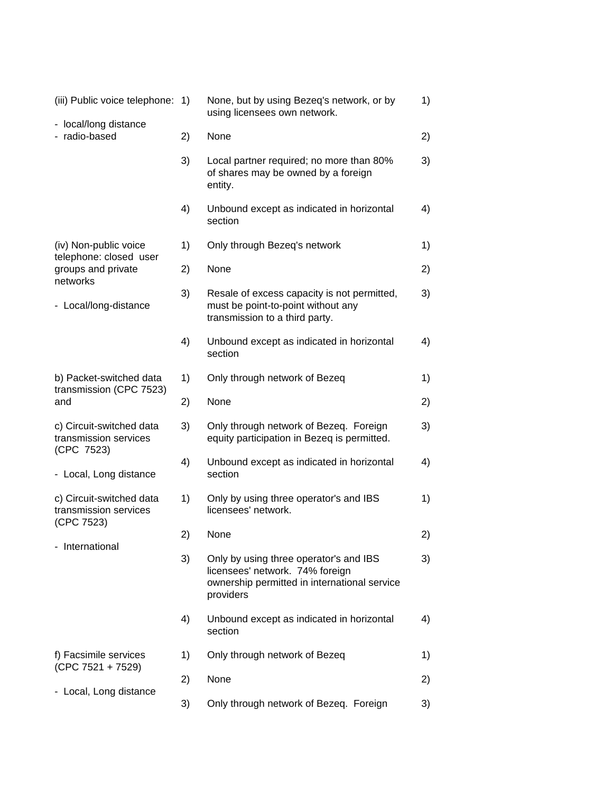| (iii) Public voice telephone:                                   | 1) | None, but by using Bezeq's network, or by<br>using licensees own network.                                                              | 1) |
|-----------------------------------------------------------------|----|----------------------------------------------------------------------------------------------------------------------------------------|----|
| - local/long distance<br>radio-based                            | 2) | None                                                                                                                                   | 2) |
|                                                                 | 3) | Local partner required; no more than 80%<br>of shares may be owned by a foreign<br>entity.                                             | 3) |
|                                                                 | 4) | Unbound except as indicated in horizontal<br>section                                                                                   | 4) |
| (iv) Non-public voice<br>telephone: closed user                 | 1) | Only through Bezeq's network                                                                                                           | 1) |
| groups and private<br>networks                                  | 2) | None                                                                                                                                   | 2) |
| - Local/long-distance                                           | 3) | Resale of excess capacity is not permitted,<br>must be point-to-point without any<br>transmission to a third party.                    | 3) |
|                                                                 | 4) | Unbound except as indicated in horizontal<br>section                                                                                   | 4) |
| b) Packet-switched data<br>transmission (CPC 7523)              | 1) | Only through network of Bezeq                                                                                                          | 1) |
| and                                                             | 2) | None                                                                                                                                   | 2) |
| c) Circuit-switched data<br>transmission services<br>(CPC 7523) | 3) | Only through network of Bezeq. Foreign<br>equity participation in Bezeq is permitted.                                                  | 3) |
| - Local, Long distance                                          | 4) | Unbound except as indicated in horizontal<br>section                                                                                   | 4) |
| c) Circuit-switched data<br>transmission services<br>(CPC 7523) | 1) | Only by using three operator's and IBS<br>licensees' network.                                                                          | 1) |
| - International                                                 | 2) | None                                                                                                                                   | 2) |
|                                                                 | 3) | Only by using three operator's and IBS<br>licensees' network. 74% foreign<br>ownership permitted in international service<br>providers | 3) |
|                                                                 | 4) | Unbound except as indicated in horizontal<br>section                                                                                   | 4) |
| f) Facsimile services<br>$(CPC 7521 + 7529)$                    | 1) | Only through network of Bezeq                                                                                                          | 1) |
| - Local, Long distance                                          | 2) | None                                                                                                                                   | 2) |
|                                                                 | 3) | Only through network of Bezeq. Foreign                                                                                                 | 3) |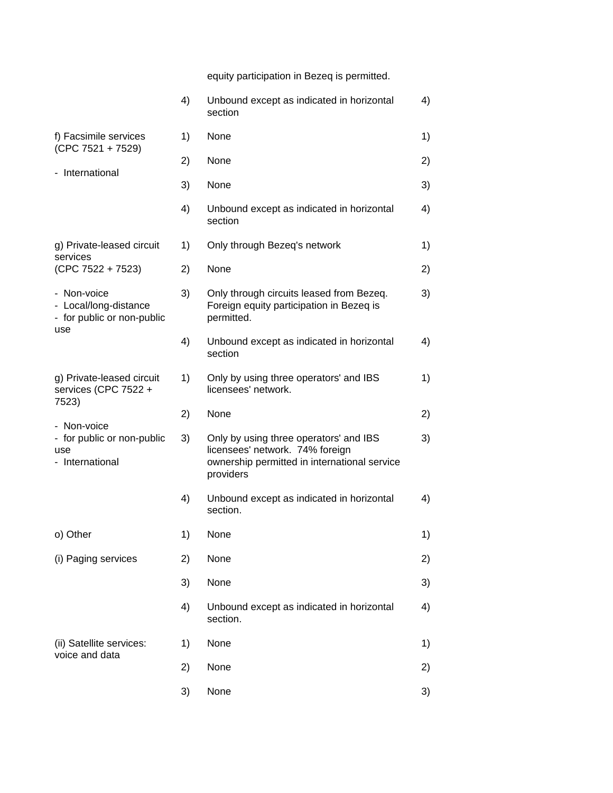equity participation in Bezeq is permitted.

|                                                                           | 4) | Unbound except as indicated in horizontal<br>section                                                                                   | 4) |
|---------------------------------------------------------------------------|----|----------------------------------------------------------------------------------------------------------------------------------------|----|
| f) Facsimile services<br>$(CPC 7521 + 7529)$                              | 1) | None                                                                                                                                   | 1) |
|                                                                           | 2) | None                                                                                                                                   | 2) |
| - International                                                           | 3) | None                                                                                                                                   | 3) |
|                                                                           | 4) | Unbound except as indicated in horizontal<br>section                                                                                   | 4) |
| g) Private-leased circuit<br>services                                     | 1) | Only through Bezeq's network                                                                                                           | 1) |
| $(CPC 7522 + 7523)$                                                       | 2) | None                                                                                                                                   | 2) |
| - Non-voice<br>- Local/long-distance<br>- for public or non-public<br>use | 3) | Only through circuits leased from Bezeq.<br>Foreign equity participation in Bezeq is<br>permitted.                                     | 3) |
|                                                                           | 4) | Unbound except as indicated in horizontal<br>section                                                                                   | 4) |
| g) Private-leased circuit<br>services (CPC 7522 +<br>7523)                | 1) | Only by using three operators' and IBS<br>licensees' network.                                                                          | 1) |
| Non-voice                                                                 | 2) | None                                                                                                                                   | 2) |
| - for public or non-public<br>use<br>- International                      | 3) | Only by using three operators' and IBS<br>licensees' network. 74% foreign<br>ownership permitted in international service<br>providers | 3) |
|                                                                           | 4) | Unbound except as indicated in horizontal<br>section.                                                                                  | 4) |
| o) Other                                                                  | 1) | None                                                                                                                                   | 1) |
| (i) Paging services                                                       | 2) | None                                                                                                                                   | 2) |
|                                                                           | 3) | None                                                                                                                                   | 3) |
|                                                                           | 4) | Unbound except as indicated in horizontal<br>section.                                                                                  | 4) |
| (ii) Satellite services:<br>voice and data                                | 1) | None                                                                                                                                   | 1) |
|                                                                           | 2) | None                                                                                                                                   | 2) |
|                                                                           | 3) | None                                                                                                                                   | 3) |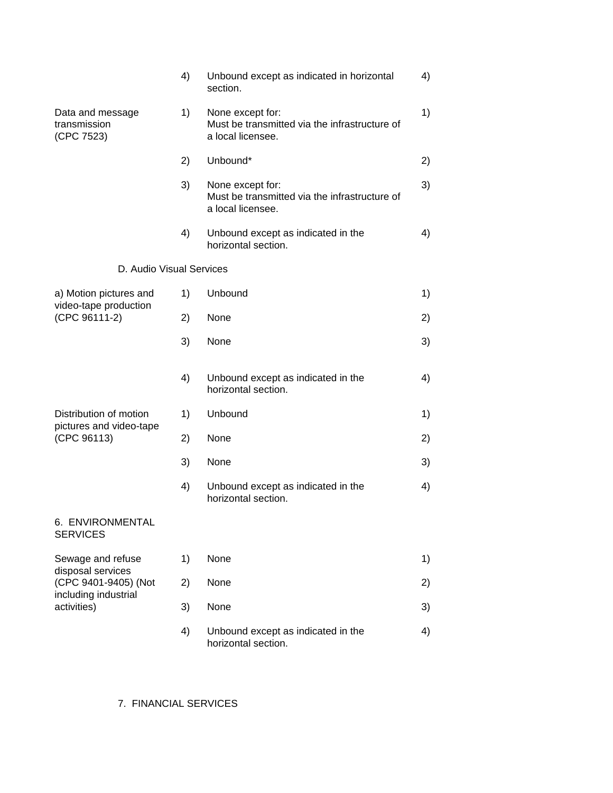|                                                   | 4) | Unbound except as indicated in horizontal<br>section.                                  | 4) |
|---------------------------------------------------|----|----------------------------------------------------------------------------------------|----|
| Data and message<br>transmission<br>(CPC 7523)    | 1) | None except for:<br>Must be transmitted via the infrastructure of<br>a local licensee. | 1) |
|                                                   | 2) | Unbound*                                                                               | 2) |
|                                                   | 3) | None except for:<br>Must be transmitted via the infrastructure of<br>a local licensee. | 3) |
|                                                   | 4) | Unbound except as indicated in the<br>horizontal section.                              | 4) |
| D. Audio Visual Services                          |    |                                                                                        |    |
| a) Motion pictures and                            | 1) | Unbound                                                                                | 1) |
| video-tape production<br>(CPC 96111-2)            | 2) | None                                                                                   | 2) |
|                                                   | 3) | None                                                                                   | 3) |
|                                                   | 4) | Unbound except as indicated in the<br>horizontal section.                              | 4) |
| Distribution of motion<br>pictures and video-tape | 1) | Unbound                                                                                | 1) |
| (CPC 96113)                                       | 2) | None                                                                                   | 2) |
|                                                   | 3) | None                                                                                   | 3) |
|                                                   | 4) | Unbound except as indicated in the<br>horizontal section.                              | 4) |
| 6. ENVIRONMENTAL<br><b>SERVICES</b>               |    |                                                                                        |    |
| Sewage and refuse                                 | 1) | None                                                                                   | 1) |
| disposal services<br>(CPC 9401-9405) (Not         | 2) | None                                                                                   | 2) |
| including industrial<br>activities)               | 3) | None                                                                                   | 3) |
|                                                   | 4) | Unbound except as indicated in the<br>horizontal section.                              | 4) |

7. FINANCIAL SERVICES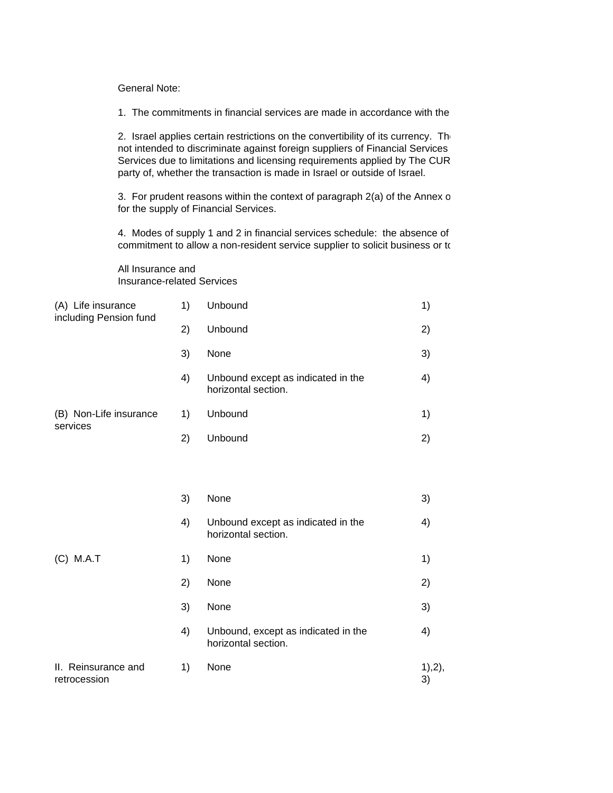General Note:

1. The commitments in financial services are made in accordance with the

2. Israel applies certain restrictions on the convertibility of its currency. The not intended to discriminate against foreign suppliers of Financial Services Services due to limitations and licensing requirements applied by The CUR party of, whether the transaction is made in Israel or outside of Israel.

3. For prudent reasons within the context of paragraph 2(a) of the Annex o for the supply of Financial Services.

4. Modes of supply 1 and 2 in financial services schedule: the absence of commitment to allow a non-resident service supplier to solicit business or to

All Insurance and Insurance-related Services

| (A) Life insurance<br>including Pension fund | 1) | Unbound                                                    | 1)            |
|----------------------------------------------|----|------------------------------------------------------------|---------------|
|                                              | 2) | Unbound                                                    | 2)            |
|                                              | 3) | None                                                       | 3)            |
|                                              | 4) | Unbound except as indicated in the<br>horizontal section.  | 4)            |
| (B) Non-Life insurance<br>services           | 1) | Unbound                                                    | 1)            |
|                                              | 2) | Unbound                                                    | 2)            |
|                                              |    |                                                            |               |
|                                              | 3) | None                                                       | 3)            |
|                                              | 4) | Unbound except as indicated in the<br>horizontal section.  | 4)            |
| (C) M.A.T                                    | 1) | None                                                       | 1)            |
|                                              | 2) | None                                                       | 2)            |
|                                              | 3) | None                                                       | 3)            |
|                                              | 4) | Unbound, except as indicated in the<br>horizontal section. | 4)            |
| II. Reinsurance and<br>retrocession          | 1) | None                                                       | 1), 2),<br>3) |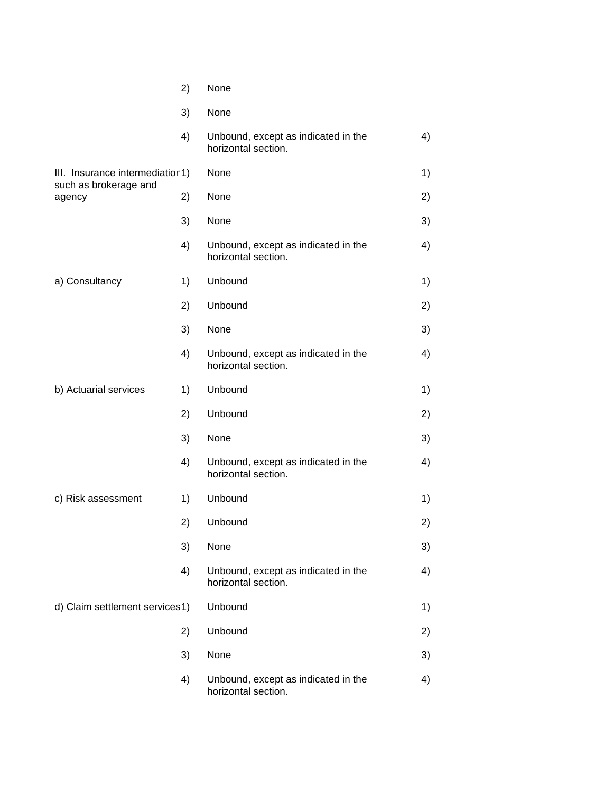|                                                          | 2) | None                                                       |    |
|----------------------------------------------------------|----|------------------------------------------------------------|----|
|                                                          | 3) | None                                                       |    |
|                                                          | 4) | Unbound, except as indicated in the<br>horizontal section. | 4) |
| III. Insurance intermediation1)<br>such as brokerage and |    | None                                                       | 1) |
| agency                                                   | 2) | None                                                       | 2) |
|                                                          | 3) | None                                                       | 3) |
|                                                          | 4) | Unbound, except as indicated in the<br>horizontal section. | 4) |
| a) Consultancy                                           | 1) | Unbound                                                    | 1) |
|                                                          | 2) | Unbound                                                    | 2) |
|                                                          | 3) | None                                                       | 3) |
|                                                          | 4) | Unbound, except as indicated in the<br>horizontal section. | 4) |
| b) Actuarial services                                    | 1) | Unbound                                                    | 1) |
|                                                          | 2) | Unbound                                                    | 2) |
|                                                          | 3) | None                                                       | 3) |
|                                                          | 4) | Unbound, except as indicated in the<br>horizontal section. | 4) |
| c) Risk assessment                                       | 1) | Unbound                                                    | 1) |
|                                                          | 2) | Unbound                                                    | 2) |
|                                                          | 3) | None                                                       | 3) |
|                                                          | 4) | Unbound, except as indicated in the<br>horizontal section. | 4) |
| d) Claim settlement services1)                           |    | Unbound                                                    | 1) |
|                                                          | 2) | Unbound                                                    | 2) |
|                                                          | 3) | None                                                       | 3) |
|                                                          | 4) | Unbound, except as indicated in the<br>horizontal section. | 4) |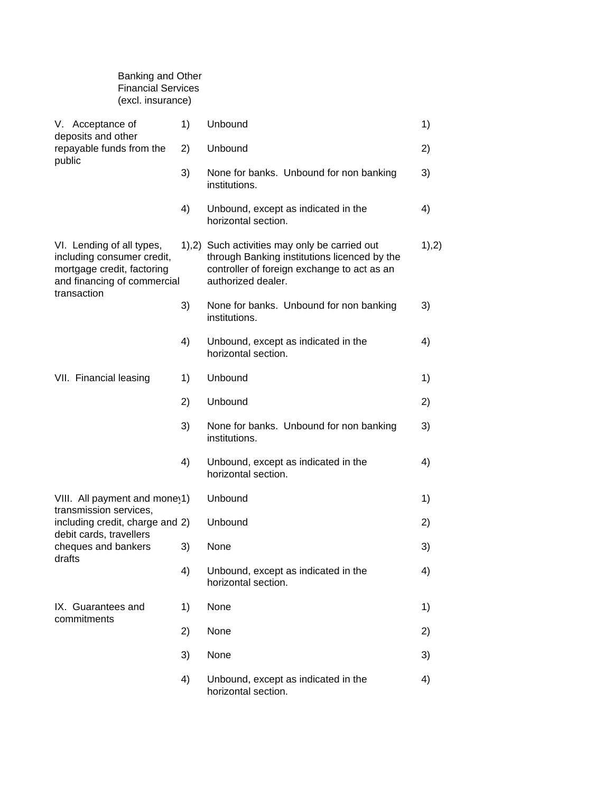| <b>Financial Services</b><br>(excl. insurance)                                                                                      |    |                                                                                                                                                                    |       |
|-------------------------------------------------------------------------------------------------------------------------------------|----|--------------------------------------------------------------------------------------------------------------------------------------------------------------------|-------|
| V. Acceptance of                                                                                                                    | 1) | Unbound                                                                                                                                                            | 1)    |
| deposits and other<br>repayable funds from the                                                                                      | 2) | Unbound                                                                                                                                                            | 2)    |
| public                                                                                                                              | 3) | None for banks. Unbound for non banking<br>institutions.                                                                                                           | 3)    |
|                                                                                                                                     | 4) | Unbound, except as indicated in the<br>horizontal section.                                                                                                         | 4)    |
| VI. Lending of all types,<br>including consumer credit,<br>mortgage credit, factoring<br>and financing of commercial<br>transaction |    | 1),2) Such activities may only be carried out<br>through Banking institutions licenced by the<br>controller of foreign exchange to act as an<br>authorized dealer. | 1),2) |
|                                                                                                                                     | 3) | None for banks. Unbound for non banking<br>institutions.                                                                                                           | 3)    |
|                                                                                                                                     | 4) | Unbound, except as indicated in the<br>horizontal section.                                                                                                         | 4)    |
| VII. Financial leasing                                                                                                              | 1) | Unbound                                                                                                                                                            | 1)    |
|                                                                                                                                     | 2) | Unbound                                                                                                                                                            | 2)    |
|                                                                                                                                     | 3) | None for banks. Unbound for non banking<br>institutions.                                                                                                           | 3)    |
|                                                                                                                                     | 4) | Unbound, except as indicated in the<br>horizontal section.                                                                                                         | 4)    |
| VIII. All payment and mone 1)                                                                                                       |    | Unbound                                                                                                                                                            | 1)    |
| transmission services,<br>including credit, charge and 2)                                                                           |    | Unbound                                                                                                                                                            | 2)    |
| debit cards, travellers<br>cheques and bankers                                                                                      | 3) | None                                                                                                                                                               | 3)    |
| drafts                                                                                                                              | 4) | Unbound, except as indicated in the<br>horizontal section.                                                                                                         | 4)    |
| IX. Guarantees and                                                                                                                  | 1) | None                                                                                                                                                               | 1)    |
| commitments                                                                                                                         | 2) | None                                                                                                                                                               | 2)    |
|                                                                                                                                     | 3) | None                                                                                                                                                               | 3)    |
|                                                                                                                                     | 4) | Unbound, except as indicated in the<br>horizontal section.                                                                                                         | 4)    |

Banking and Other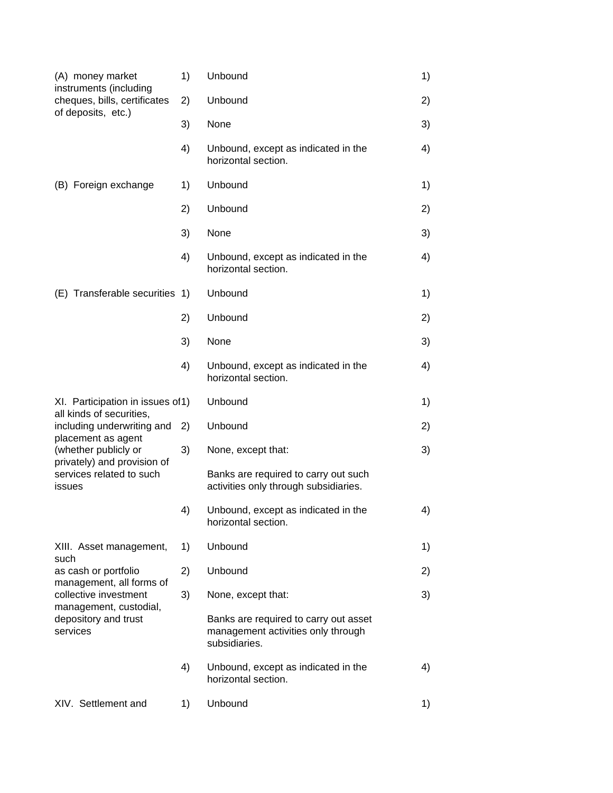| (A) money market<br>instruments (including<br>cheques, bills, certificates                           | 1) | Unbound                                                                                      | 1) |
|------------------------------------------------------------------------------------------------------|----|----------------------------------------------------------------------------------------------|----|
|                                                                                                      | 2) | Unbound                                                                                      | 2) |
| of deposits, etc.)                                                                                   | 3) | None                                                                                         | 3) |
|                                                                                                      | 4) | Unbound, except as indicated in the<br>horizontal section.                                   | 4) |
| (B) Foreign exchange                                                                                 | 1) | Unbound                                                                                      | 1) |
|                                                                                                      | 2) | Unbound                                                                                      | 2) |
|                                                                                                      | 3) | None                                                                                         | 3) |
|                                                                                                      | 4) | Unbound, except as indicated in the<br>horizontal section.                                   | 4) |
| (E) Transferable securities 1)                                                                       |    | Unbound                                                                                      | 1) |
|                                                                                                      | 2) | Unbound                                                                                      | 2) |
|                                                                                                      | 3) | None                                                                                         | 3) |
|                                                                                                      | 4) | Unbound, except as indicated in the<br>horizontal section.                                   | 4) |
| XI. Participation in issues of 1)                                                                    |    | Unbound                                                                                      | 1) |
| all kinds of securities,<br>including underwriting and<br>placement as agent<br>(whether publicly or | 2) | Unbound                                                                                      | 2) |
|                                                                                                      | 3) | None, except that:                                                                           | 3) |
| privately) and provision of<br>services related to such<br>issues                                    |    | Banks are required to carry out such<br>activities only through subsidiaries.                |    |
|                                                                                                      | 4) | Unbound, except as indicated in the<br>horizontal section.                                   | 4) |
| XIII. Asset management,                                                                              | 1) | Unbound                                                                                      | 1) |
| such<br>as cash or portfolio                                                                         | 2) | Unbound                                                                                      | 2) |
| management, all forms of<br>collective investment                                                    | 3) | None, except that:                                                                           | 3) |
| management, custodial,<br>depository and trust<br>services                                           |    | Banks are required to carry out asset<br>management activities only through<br>subsidiaries. |    |
|                                                                                                      |    |                                                                                              |    |
|                                                                                                      | 4) | Unbound, except as indicated in the<br>horizontal section.                                   | 4) |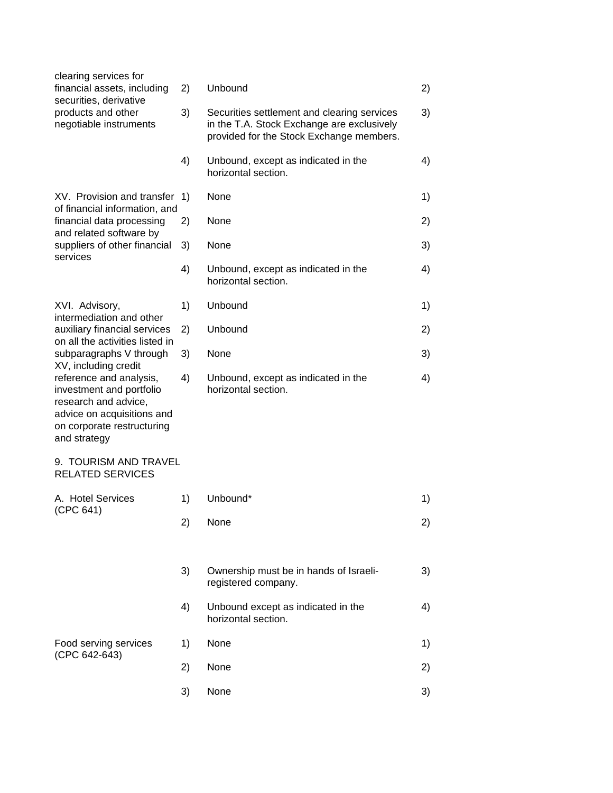| clearing services for                                                                                                                                   |    |                                                                                                                                       |    |
|---------------------------------------------------------------------------------------------------------------------------------------------------------|----|---------------------------------------------------------------------------------------------------------------------------------------|----|
| financial assets, including<br>securities, derivative<br>products and other<br>negotiable instruments                                                   | 2) | Unbound                                                                                                                               | 2) |
|                                                                                                                                                         | 3) | Securities settlement and clearing services<br>in the T.A. Stock Exchange are exclusively<br>provided for the Stock Exchange members. | 3) |
|                                                                                                                                                         | 4) | Unbound, except as indicated in the<br>horizontal section.                                                                            | 4) |
| XV. Provision and transfer<br>of financial information, and                                                                                             | 1) | None                                                                                                                                  | 1) |
| financial data processing<br>and related software by                                                                                                    | 2) | None                                                                                                                                  | 2) |
| suppliers of other financial<br>services                                                                                                                | 3) | None                                                                                                                                  | 3) |
|                                                                                                                                                         | 4) | Unbound, except as indicated in the<br>horizontal section.                                                                            | 4) |
| XVI. Advisory,<br>intermediation and other                                                                                                              | 1) | Unbound                                                                                                                               | 1) |
| auxiliary financial services<br>on all the activities listed in                                                                                         | 2) | Unbound                                                                                                                               | 2) |
| subparagraphs V through<br>XV, including credit                                                                                                         | 3) | None                                                                                                                                  | 3) |
| reference and analysis,<br>investment and portfolio<br>research and advice,<br>advice on acquisitions and<br>on corporate restructuring<br>and strategy | 4) | Unbound, except as indicated in the<br>horizontal section.                                                                            | 4) |
| 9. TOURISM AND TRAVEL<br><b>RELATED SERVICES</b>                                                                                                        |    |                                                                                                                                       |    |
| A. Hotel Services                                                                                                                                       | 1) | Unbound*                                                                                                                              | 1) |
| (CPC 641)                                                                                                                                               | 2) | None                                                                                                                                  | 2) |
|                                                                                                                                                         |    |                                                                                                                                       |    |
|                                                                                                                                                         | 3) | Ownership must be in hands of Israeli-<br>registered company.                                                                         | 3) |
|                                                                                                                                                         | 4) | Unbound except as indicated in the<br>horizontal section.                                                                             | 4) |
| Food serving services<br>(CPC 642-643)                                                                                                                  | 1) | None                                                                                                                                  | 1) |
|                                                                                                                                                         | 2) | None                                                                                                                                  | 2) |
|                                                                                                                                                         | 3) | None                                                                                                                                  | 3) |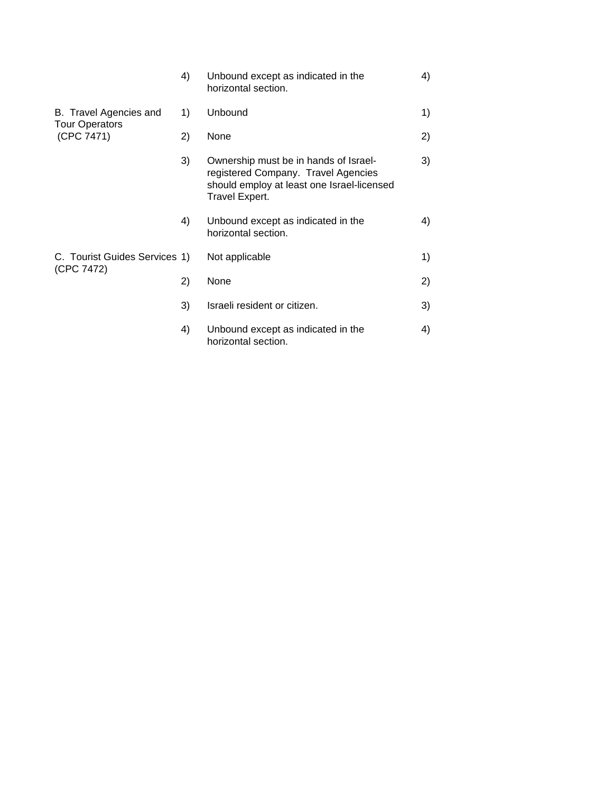|                                                 | 4) | Unbound except as indicated in the<br>horizontal section.                                                                                    | 4) |
|-------------------------------------------------|----|----------------------------------------------------------------------------------------------------------------------------------------------|----|
| B. Travel Agencies and<br><b>Tour Operators</b> | 1) | Unbound                                                                                                                                      | 1) |
| (CPC 7471)                                      | 2) | None                                                                                                                                         | 2) |
|                                                 | 3) | Ownership must be in hands of Israel-<br>registered Company. Travel Agencies<br>should employ at least one Israel-licensed<br>Travel Expert. | 3) |
|                                                 | 4) | Unbound except as indicated in the<br>horizontal section.                                                                                    | 4) |
| C. Tourist Guides Services 1)                   |    | Not applicable                                                                                                                               | 1) |
| (CPC 7472)                                      | 2) | None                                                                                                                                         | 2) |
|                                                 | 3) | Israeli resident or citizen.                                                                                                                 | 3) |
|                                                 | 4) | Unbound except as indicated in the<br>horizontal section.                                                                                    | 4) |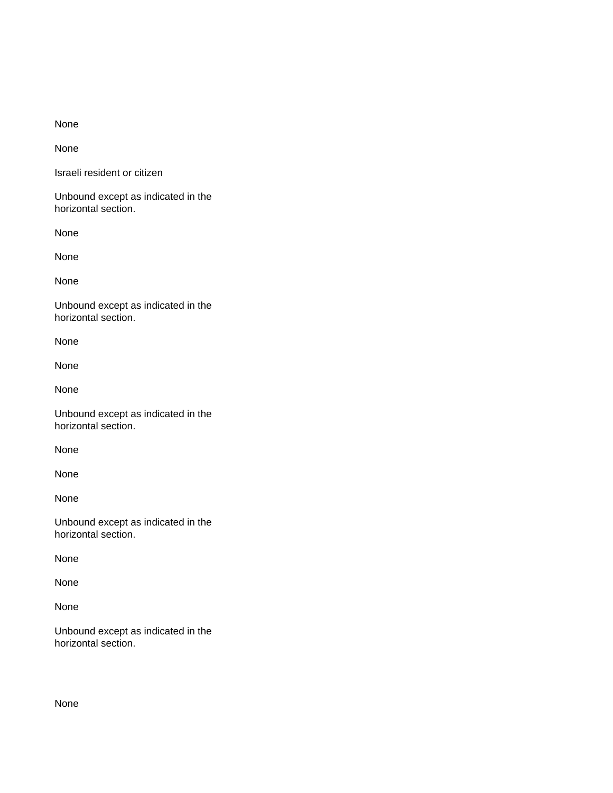None

None

Israeli resident or citizen

Unbound except as indicated in the horizontal section.

None

None

None

Unbound except as indicated in the horizontal section.

None

None

None

Unbound except as indicated in the horizontal section.

None

None

None

Unbound except as indicated in the horizontal section.

None

None

None

Unbound except as indicated in the horizontal section.

None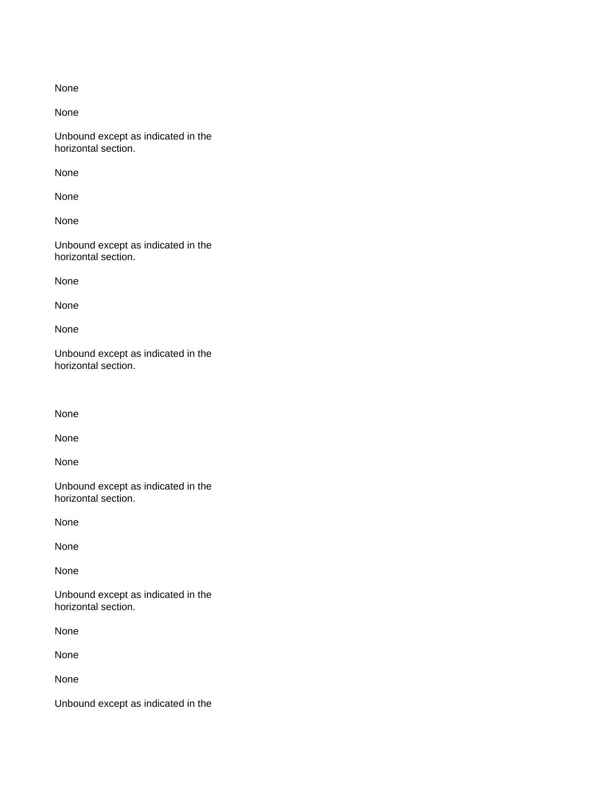None

None

Unbound except as indicated in the horizontal section.

None

None

None

Unbound except as indicated in the horizontal section.

None

None

None

Unbound except as indicated in the horizontal section.

None

None

None

Unbound except as indicated in the horizontal section.

None

None

None

Unbound except as indicated in the horizontal section.

None

None

None

Unbound except as indicated in the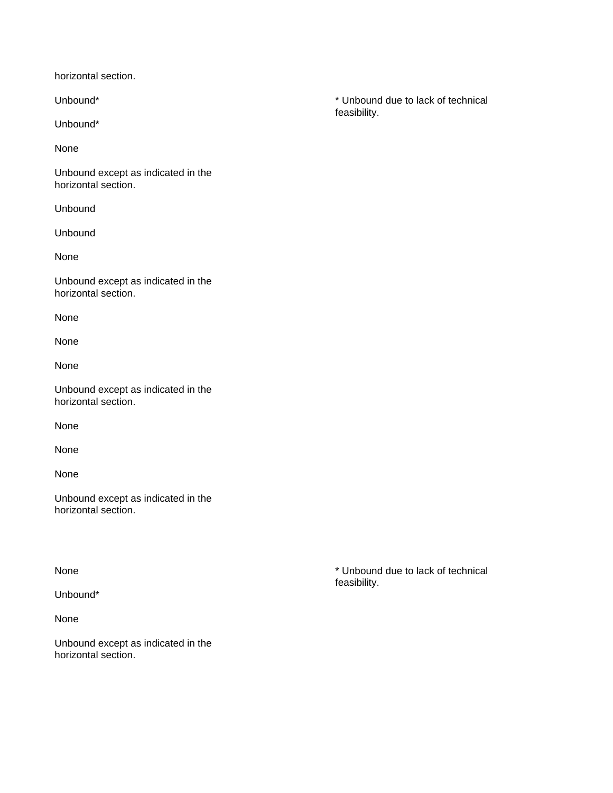horizontal section.

Unbound\*

None

Unbound except as indicated in the horizontal section.

Unbound

Unbound

None

Unbound except as indicated in the horizontal section.

None

None

None

Unbound except as indicated in the horizontal section.

None

None

None

Unbound except as indicated in the horizontal section.

Unbound\*

None

Unbound except as indicated in the horizontal section.

Unbound\* \* Unbound due to lack of technical feasibility.

None  $\bullet$  We are the set of the set of the set of the set of the set of the set of the set of the set of the set of the set of the set of the set of the set of the set of the set of the set of the set of the set of the set feasibility.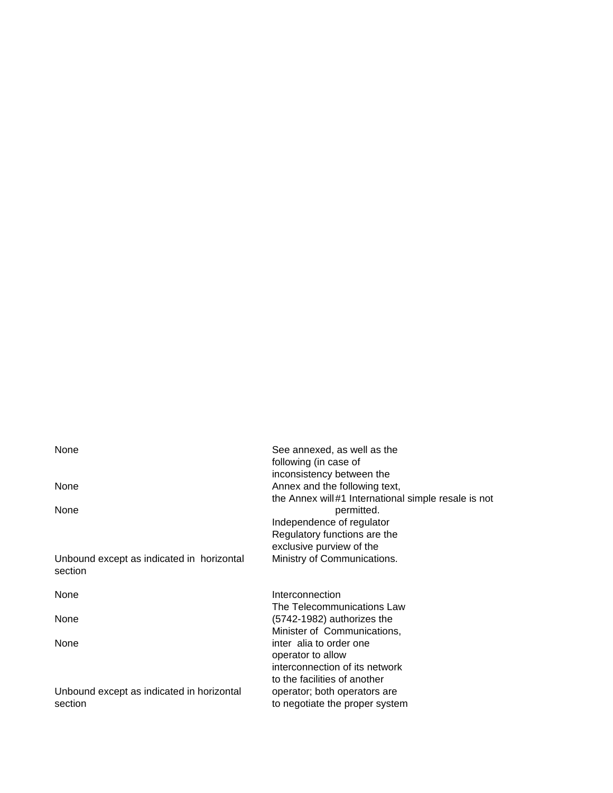| None                                                 | See annexed, as well as the                         |
|------------------------------------------------------|-----------------------------------------------------|
|                                                      | following (in case of                               |
|                                                      | inconsistency between the                           |
| None                                                 | Annex and the following text,                       |
|                                                      | the Annex will#1 International simple resale is not |
| None                                                 | permitted.                                          |
|                                                      | Independence of regulator                           |
|                                                      | Regulatory functions are the                        |
|                                                      | exclusive purview of the                            |
| Unbound except as indicated in horizontal<br>section | Ministry of Communications.                         |
| None                                                 | Interconnection                                     |
|                                                      | The Telecommunications Law                          |
| None                                                 | (5742-1982) authorizes the                          |
|                                                      | Minister of Communications,                         |
| None                                                 | inter alia to order one                             |
|                                                      | operator to allow                                   |
|                                                      | interconnection of its network                      |
|                                                      | to the facilities of another                        |
| Unbound except as indicated in horizontal            | operator; both operators are                        |
| section                                              | to negotiate the proper system                      |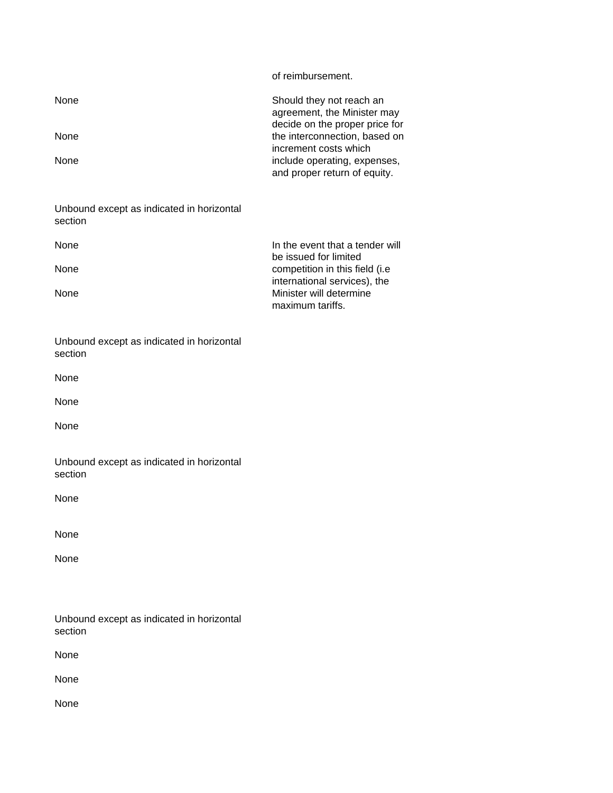of reimbursement.

| None | Should they not reach an<br>agreement, the Minister may<br>decide on the proper price for |
|------|-------------------------------------------------------------------------------------------|
| None | the interconnection, based on<br>increment costs which                                    |
| None | include operating, expenses,<br>and proper return of equity.                              |

| Unbound except as indicated in horizontal |  |
|-------------------------------------------|--|
| section                                   |  |

| <b>None</b> | In the event that a tender will |
|-------------|---------------------------------|
|             | be issued for limited           |
| <b>None</b> | competition in this field (i.e. |
|             | international services), the    |
| <b>None</b> | Minister will determine         |
|             | maximum tariffs.                |

| Unbound except as indicated in horizontal |  |
|-------------------------------------------|--|
| section                                   |  |

| × | ×  |
|---|----|
| ٠ | ۰, |
|   |    |

None

None

|         | Unbound except as indicated in horizontal |  |
|---------|-------------------------------------------|--|
| section |                                           |  |

None

None

None

|         |  | Unbound except as indicated in horizontal |
|---------|--|-------------------------------------------|
| section |  |                                           |

None

None

None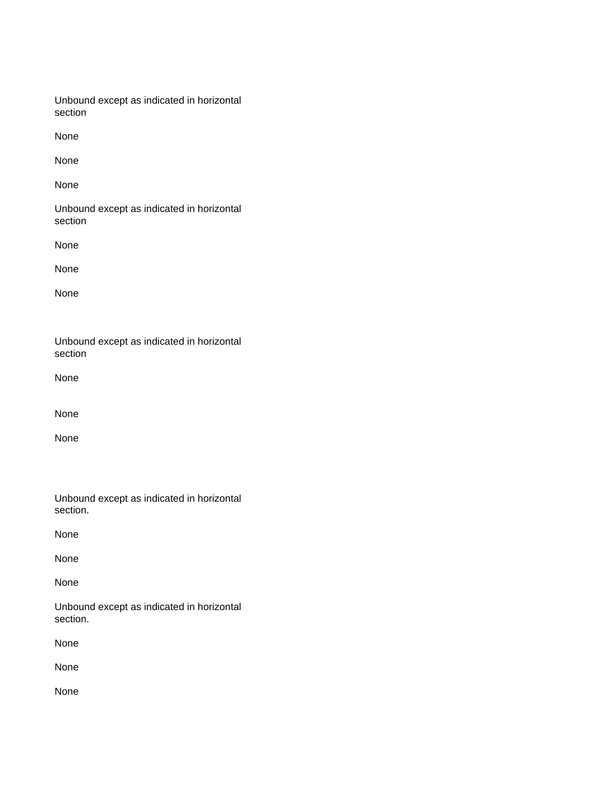| Unbound except as indicated in horizontal |  |
|-------------------------------------------|--|
| section                                   |  |

None

None

None

Unbound except as indicated in horizontal section

None

None

None

Unbound except as indicated in horizontal section

None

None

None

|          |  | Unbound except as indicated in horizontal |
|----------|--|-------------------------------------------|
| section. |  |                                           |

None

None

None

Unbound except as indicated in horizontal section.

None

None

None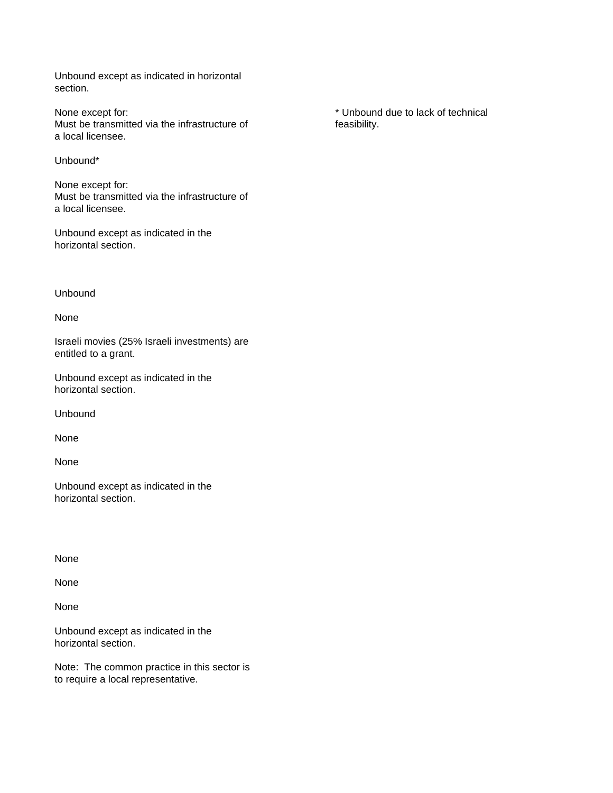Unbound except as indicated in horizontal section.

None except for:  $\blacksquare$ Must be transmitted via the infrastructure of feasibility. a local licensee.

Unbound\*

None except for: Must be transmitted via the infrastructure of a local licensee.

Unbound except as indicated in the horizontal section.

Unbound

None

Israeli movies (25% Israeli investments) are entitled to a grant.

Unbound except as indicated in the horizontal section.

Unbound

None

None

Unbound except as indicated in the horizontal section.

None

None

None

Unbound except as indicated in the horizontal section.

Note: The common practice in this sector is to require a local representative.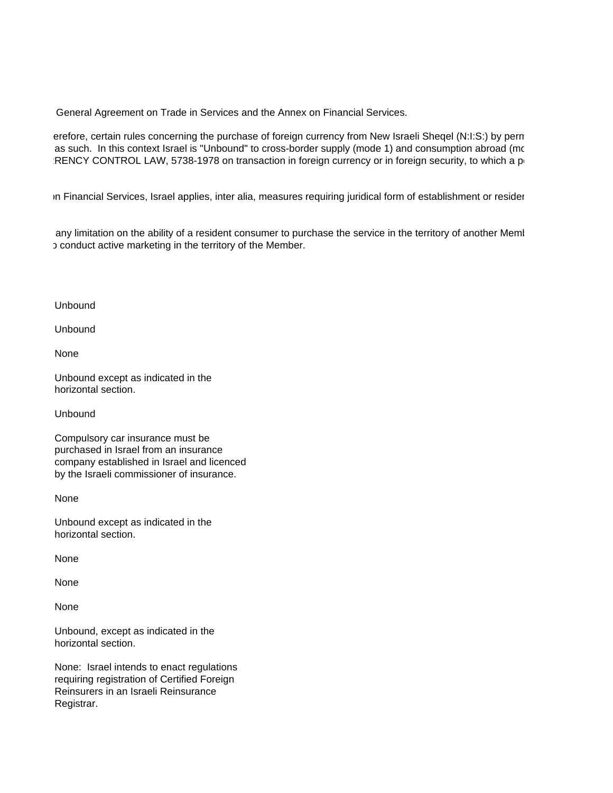General Agreement on Trade in Services and the Annex on Financial Services.

erefore, certain rules concerning the purchase of foreign currency from New Israeli Sheqel (N:I:S:) by perm as such. In this context Israel is "Unbound" to cross-border supply (mode 1) and consumption abroad (mode 2) RENCY CONTROL LAW, 5738-1978 on transaction in foreign currency or in foreign security, to which a permanent resident in  $\mathbf{B}$ 

3. Financial Services, Israel applies, inter alia, measures requiring juridical form of establishment or resider

any limitation on the ability of a resident consumer to purchase the service in the territory of another Meml b conduct active marketing in the territory of the Member.

Unbound

Unbound

None

Unbound except as indicated in the horizontal section.

Unbound

Compulsory car insurance must be purchased in Israel from an insurance company established in Israel and licenced by the Israeli commissioner of insurance.

None

Unbound except as indicated in the horizontal section.

None

None

None

Unbound, except as indicated in the horizontal section.

None: Israel intends to enact regulations requiring registration of Certified Foreign Reinsurers in an Israeli Reinsurance Registrar.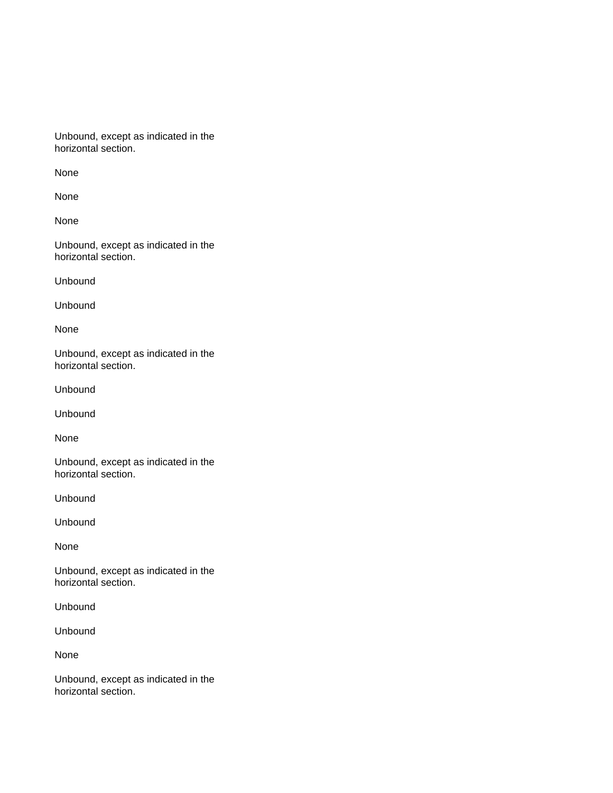Unbound, except as indicated in the horizontal section.

None

None

None

Unbound, except as indicated in the horizontal section.

Unbound

Unbound

None

Unbound, except as indicated in the horizontal section.

Unbound

Unbound

None

Unbound, except as indicated in the horizontal section.

Unbound

Unbound

None

Unbound, except as indicated in the horizontal section.

Unbound

Unbound

None

Unbound, except as indicated in the horizontal section.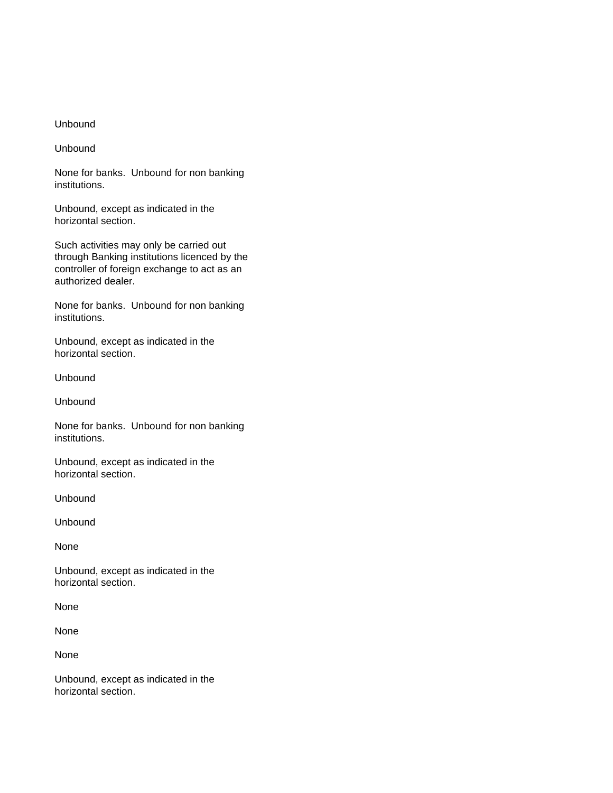### Unbound

Unbound

None for banks. Unbound for non banking institutions.

Unbound, except as indicated in the horizontal section.

Such activities may only be carried out through Banking institutions licenced by the controller of foreign exchange to act as an authorized dealer.

None for banks. Unbound for non banking institutions.

Unbound, except as indicated in the horizontal section.

Unbound

Unbound

None for banks. Unbound for non banking institutions.

Unbound, except as indicated in the horizontal section.

Unbound

Unbound

None

Unbound, except as indicated in the horizontal section.

None

None

None

Unbound, except as indicated in the horizontal section.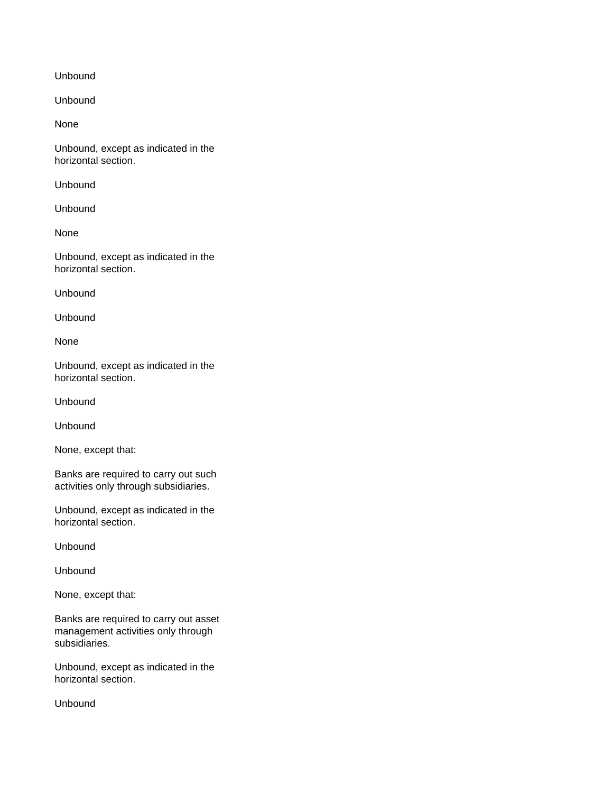Unbound

Unbound

None

Unbound, except as indicated in the horizontal section.

Unbound

Unbound

None

Unbound, except as indicated in the horizontal section.

Unbound

Unbound

None

Unbound, except as indicated in the horizontal section.

Unbound

Unbound

None, except that:

Banks are required to carry out such activities only through subsidiaries.

Unbound, except as indicated in the horizontal section.

Unbound

Unbound

None, except that:

Banks are required to carry out asset management activities only through subsidiaries.

Unbound, except as indicated in the horizontal section.

Unbound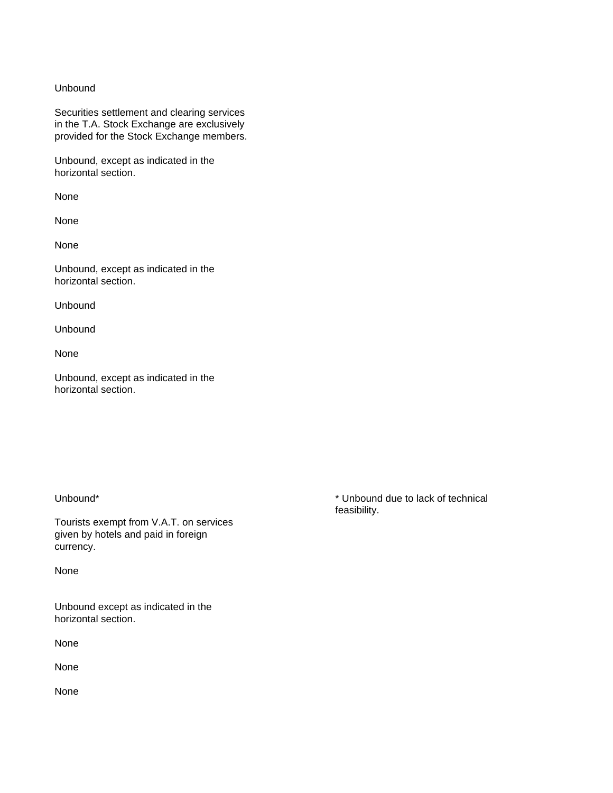### Unbound

Securities settlement and clearing services in the T.A. Stock Exchange are exclusively provided for the Stock Exchange members.

Unbound, except as indicated in the horizontal section.

None

None

None

Unbound, except as indicated in the horizontal section.

Unbound

Unbound

None

Unbound, except as indicated in the horizontal section.

Tourists exempt from V.A.T. on services given by hotels and paid in foreign currency.

None

Unbound except as indicated in the horizontal section.

None

None

None

Unbound\* **\*** Unbound due to lack of technical feasibility.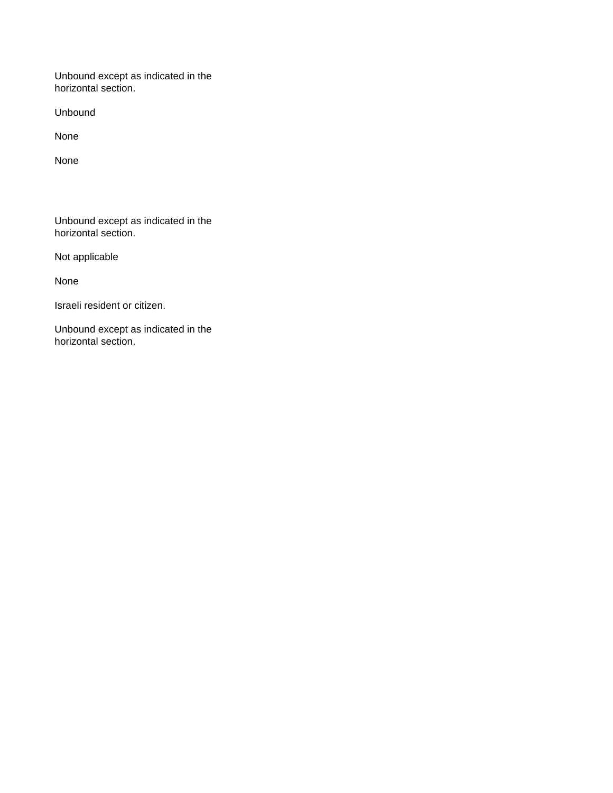Unbound except as indicated in the horizontal section.

Unbound

None

None

Unbound except as indicated in the horizontal section.

Not applicable

None

Israeli resident or citizen.

Unbound except as indicated in the horizontal section.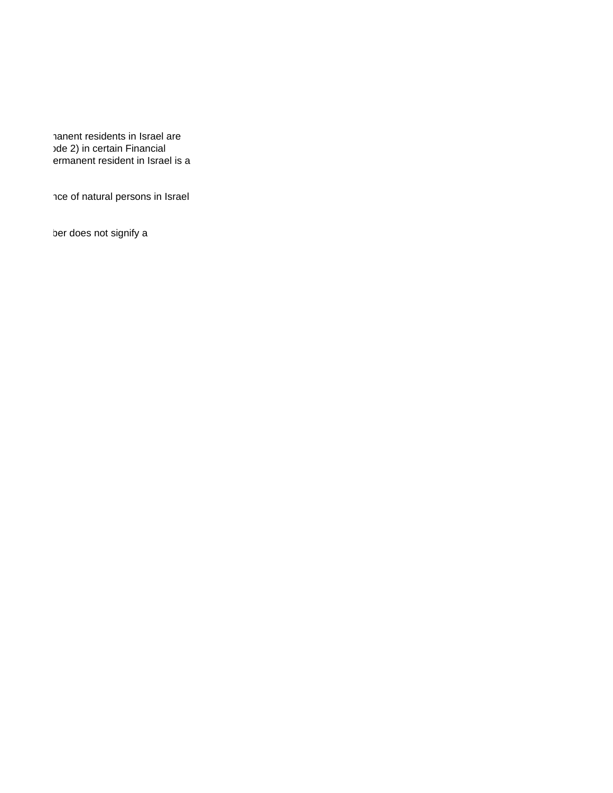nanent residents in Israel are ode 2) in certain Financial ermanent resident in Israel is a

nce of natural persons in Israel

ber does not signify a